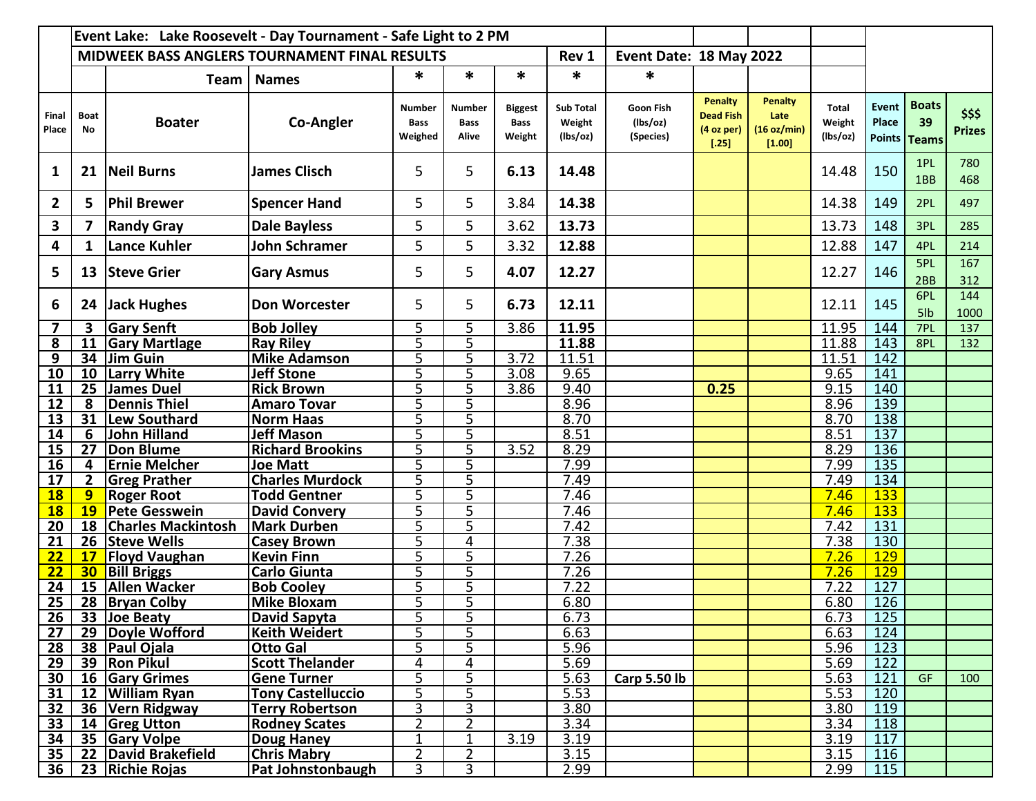|                      | Event Lake: Lake Roosevelt - Day Tournament - Safe Light to 2 PM |                                     |                                                      |                                         |                                |                                         |                                        |                                    |                                                           |                                                 |                                    |                   |                                    |                         |
|----------------------|------------------------------------------------------------------|-------------------------------------|------------------------------------------------------|-----------------------------------------|--------------------------------|-----------------------------------------|----------------------------------------|------------------------------------|-----------------------------------------------------------|-------------------------------------------------|------------------------------------|-------------------|------------------------------------|-------------------------|
|                      |                                                                  |                                     | <b>MIDWEEK BASS ANGLERS TOURNAMENT FINAL RESULTS</b> |                                         |                                |                                         | Rev 1                                  | Event Date: 18 May 2022            |                                                           |                                                 |                                    |                   |                                    |                         |
|                      |                                                                  | <b>Team</b>                         | <b>Names</b>                                         | *                                       | $\ast$                         | *                                       | $\ast$                                 | $\ast$                             |                                                           |                                                 |                                    |                   |                                    |                         |
| Final<br>Place       | <b>Boat</b><br>No                                                | <b>Boater</b>                       | <b>Co-Angler</b>                                     | <b>Number</b><br><b>Bass</b><br>Weighed | Number<br><b>Bass</b><br>Alive | <b>Biggest</b><br><b>Bass</b><br>Weight | <b>Sub Total</b><br>Weight<br>(lbs/oz) | Goon Fish<br>(lbs/oz)<br>(Species) | <b>Penalty</b><br><b>Dead Fish</b><br>(4 oz per)<br>[.25] | <b>Penalty</b><br>Late<br>(16 oz/min)<br>[1.00] | <b>Total</b><br>Weight<br>(lbs/oz) | Event<br>Place    | <b>Boats</b><br>39<br>Points Teams | \$\$\$<br><b>Prizes</b> |
| $\mathbf{1}$         | 21                                                               | Neil Burns                          | <b>James Clisch</b>                                  | 5                                       | 5                              | 6.13                                    | 14.48                                  |                                    |                                                           |                                                 | 14.48                              | 150               | 1PL<br>1BB                         | 780<br>468              |
| $\mathbf{2}$         | 5.                                                               | <b>Phil Brewer</b>                  | <b>Spencer Hand</b>                                  | 5                                       | 5                              | 3.84                                    | 14.38                                  |                                    |                                                           |                                                 | 14.38                              | 149               | 2PL                                | 497                     |
| 3                    | 7                                                                | <b>Randy Gray</b>                   | <b>Dale Bayless</b>                                  | 5                                       | 5                              | 3.62                                    | 13.73                                  |                                    |                                                           |                                                 | 13.73                              | 148               | 3PL                                | 285                     |
| 4                    | 1                                                                | <b>Lance Kuhler</b>                 | John Schramer                                        | 5                                       | 5                              | 3.32                                    | 12.88                                  |                                    |                                                           |                                                 | 12.88                              | 147               | 4PL                                | 214                     |
| 5                    | 13                                                               | <b>Steve Grier</b>                  | <b>Gary Asmus</b>                                    | 5                                       | 5                              | 4.07                                    | 12.27                                  |                                    |                                                           |                                                 | 12.27                              | 146               | 5PL<br>2BB                         | 167<br>312              |
| 6                    | 24                                                               | Jack Hughes                         | <b>Don Worcester</b>                                 | 5                                       | 5                              | 6.73                                    | 12.11                                  |                                    |                                                           |                                                 | 12.11                              | 145               | 6PL<br>5lb                         | 144<br>1000             |
| 7                    | 3                                                                | <b>Gary Senft</b>                   | <b>Bob Jolley</b>                                    | 5                                       | 5                              | 3.86                                    | 11.95                                  |                                    |                                                           |                                                 | 11.95                              | 144               | 7PL                                | 137                     |
| 8                    |                                                                  | 11 Gary Martlage                    | <b>Ray Riley</b>                                     | 5                                       | $\overline{5}$                 |                                         | 11.88                                  |                                    |                                                           |                                                 | 11.88                              | $\overline{143}$  | 8PL                                | 132                     |
| 9<br>$\overline{10}$ | 10                                                               | 34 Jim Guin<br><b>Larry White</b>   | <b>Mike Adamson</b><br><b>Jeff Stone</b>             | 5<br>5                                  | 5<br>5                         | 3.72<br>3.08                            | 11.51<br>9.65                          |                                    |                                                           |                                                 | 11.51<br>9.65                      | 142<br>141        |                                    |                         |
| 11                   |                                                                  | 25 James Duel                       | <b>Rick Brown</b>                                    | 5                                       | 5                              | 3.86                                    | 9.40                                   |                                    | 0.25                                                      |                                                 | 9.15                               | 140               |                                    |                         |
| 12                   | 8                                                                | Dennis Thiel                        | <b>Amaro Tovar</b>                                   | 5                                       | 5                              |                                         | 8.96                                   |                                    |                                                           |                                                 | 8.96                               | 139               |                                    |                         |
| 13                   |                                                                  | 31  Lew Southard                    | <b>Norm Haas</b>                                     | 5                                       | 5                              |                                         | 8.70                                   |                                    |                                                           |                                                 | 8.70                               | 138               |                                    |                         |
| 14                   | 6                                                                | <b>John Hilland</b>                 | <b>Jeff Mason</b>                                    | 5                                       | 5                              |                                         | 8.51                                   |                                    |                                                           |                                                 | 8.51                               | $\overline{137}$  |                                    |                         |
| 15                   | 27                                                               | Don Blume                           | <b>Richard Brookins</b>                              | 5                                       | 5                              | 3.52                                    | 8.29                                   |                                    |                                                           |                                                 | 8.29                               | 136               |                                    |                         |
| 16                   | 4                                                                | <b>Ernie Melcher</b>                | <b>Joe Matt</b>                                      | 5                                       | 5                              |                                         | 7.99                                   |                                    |                                                           |                                                 | 7.99                               | 135               |                                    |                         |
| 17                   | $2^{\circ}$                                                      | <b>Greg Prather</b>                 | <b>Charles Murdock</b>                               | 5                                       | 5                              |                                         | 7.49                                   |                                    |                                                           |                                                 | 7.49                               | 134               |                                    |                         |
| $\overline{18}$      | 9                                                                | <b>Roger Root</b>                   | <b>Todd Gentner</b>                                  | 5                                       | 5                              |                                         | 7.46                                   |                                    |                                                           |                                                 | 7.46                               | 133               |                                    |                         |
| <b>18</b>            | <b>19</b>                                                        | Pete Gesswein                       | <b>David Convery</b>                                 | 5                                       | 5                              |                                         | 7.46                                   |                                    |                                                           |                                                 | 7.46                               | 133               |                                    |                         |
| 20                   |                                                                  | 18 Charles Mackintosh               | <b>Mark Durben</b>                                   | 5                                       | 5                              |                                         | 7.42                                   |                                    |                                                           |                                                 | 7.42                               | 131               |                                    |                         |
| 21                   |                                                                  | 26 Steve Wells                      | <b>Casey Brown</b>                                   | 5                                       | 4                              |                                         | 7.38                                   |                                    |                                                           |                                                 | 7.38                               | 130               |                                    |                         |
| 22                   | 17 <sub>2</sub>                                                  | <b>Floyd Vaughan</b>                | <b>Kevin Finn</b>                                    | 5                                       | 5                              |                                         | 7.26                                   |                                    |                                                           |                                                 | 7.26                               | <b>129</b>        |                                    |                         |
| 22                   | 30 <sub>2</sub>                                                  | <b>Bill Briggs</b>                  | Carlo Giunta                                         | 5<br>5                                  | 5                              |                                         | 7.26                                   |                                    |                                                           |                                                 | 7.26<br>7.22                       | <b>129</b><br>127 |                                    |                         |
| 24<br>25             |                                                                  | 15   Allen Wacker<br>28 Bryan Colby | <b>Bob Cooley</b><br><b>Mike Bloxam</b>              | 5                                       | 5<br>5                         |                                         | 7.22<br>6.80                           |                                    |                                                           |                                                 | 6.80                               | $\frac{126}{ }$   |                                    |                         |
| 26                   |                                                                  | 33 Joe Beaty                        | David Sapyta                                         | 5                                       | 5                              |                                         | 6.73                                   |                                    |                                                           |                                                 | 6.73                               | $\overline{125}$  |                                    |                         |
| 27                   |                                                                  | 29 Doyle Wofford                    | <b>Keith Weidert</b>                                 | 5                                       | 5                              |                                         | 6.63                                   |                                    |                                                           |                                                 | 6.63                               | 124               |                                    |                         |
| 28                   |                                                                  | 38 Paul Ojala                       | <b>Otto Gal</b>                                      | 5                                       | 5                              |                                         | 5.96                                   |                                    |                                                           |                                                 | 5.96                               | 123               |                                    |                         |
| 29                   |                                                                  | 39 Ron Pikul                        | <b>Scott Thelander</b>                               | 4                                       | 4                              |                                         | 5.69                                   |                                    |                                                           |                                                 | 5.69                               | 122               |                                    |                         |
| 30                   |                                                                  | 16 Gary Grimes                      | <b>Gene Turner</b>                                   | 5                                       | 5                              |                                         | 5.63                                   | <b>Carp 5.50 lb</b>                |                                                           |                                                 | 5.63                               | 121               | GF                                 | 100                     |
| 31                   |                                                                  | 12 William Ryan                     | <b>Tony Castelluccio</b>                             | 5                                       | 5                              |                                         | 5.53                                   |                                    |                                                           |                                                 | 5.53                               | 120               |                                    |                         |
| 32                   |                                                                  | 36 Vern Ridgway                     | <b>Terry Robertson</b>                               | 3                                       | 3                              |                                         | 3.80                                   |                                    |                                                           |                                                 | 3.80                               | 119               |                                    |                         |
| 33                   |                                                                  | 14 Greg Utton                       | <b>Rodney Scates</b>                                 | $\overline{2}$                          | $\overline{2}$                 |                                         | 3.34                                   |                                    |                                                           |                                                 | 3.34                               | 118               |                                    |                         |
| 34                   |                                                                  | 35 Gary Volpe                       | <b>Doug Haney</b>                                    | 1                                       | 1                              | 3.19                                    | 3.19                                   |                                    |                                                           |                                                 | 3.19                               | 117               |                                    |                         |
| 35                   |                                                                  | 22 David Brakefield                 | <b>Chris Mabry</b>                                   | $\overline{2}$                          | $\overline{2}$                 |                                         | 3.15                                   |                                    |                                                           |                                                 | 3.15                               | 116               |                                    |                         |
| 36                   |                                                                  | 23 Richie Rojas                     | Pat Johnstonbaugh                                    | 3                                       | 3                              |                                         | 2.99                                   |                                    |                                                           |                                                 | 2.99                               | 115               |                                    |                         |